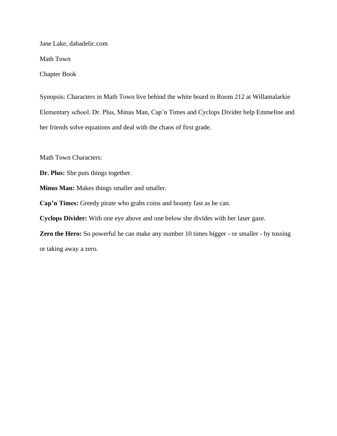Jane Lake, dabadelic.com

Math Town

Chapter Book

Synopsis: Characters in Math Town live behind the white board in Room 212 at Willamalarkie Elementary school. Dr. Plus, Minus Man, Cap'n Times and Cyclops Divider help Emmeline and her friends solve equations and deal with the chaos of first grade.

Math Town Characters:

**Dr. Plus:** She puts things together.

**Minus Man:** Makes things smaller and smaller.

**Cap'n Times:** Greedy pirate who grabs coins and bounty fast as he can.

**Cyclops Divider:** With one eye above and one below she divides with her laser gaze.

**Zero the Hero:** So powerful he can make any number 10 times bigger - or smaller - by tossing or taking away a zero.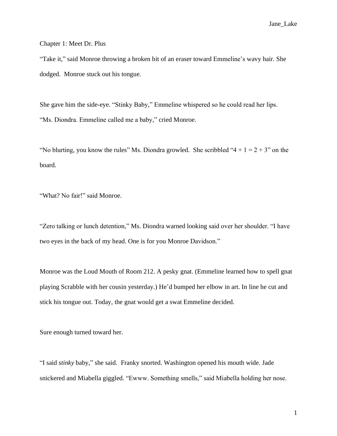Chapter 1: Meet Dr. Plus

"Take it," said Monroe throwing a broken bit of an eraser toward Emmeline's wavy hair. She dodged. Monroe stuck out his tongue.

She gave him the side-eye. "Stinky Baby," Emmeline whispered so he could read her lips. "Ms. Diondra. Emmeline called me a baby," cried Monroe.

"No blurting, you know the rules" Ms. Diondra growled. She scribbled " $4 + 1 = 2 + 3$ " on the board.

"What? No fair!" said Monroe.

"Zero talking or lunch detention," Ms. Diondra warned looking said over her shoulder. "I have two eyes in the back of my head. One is for you Monroe Davidson."

Monroe was the Loud Mouth of Room 212. A pesky gnat. (Emmeline learned how to spell gnat playing Scrabble with her cousin yesterday.) He'd bumped her elbow in art. In line he cut and stick his tongue out. Today, the gnat would get a swat Emmeline decided.

Sure enough turned toward her.

"I said *stinky* baby," she said. Franky snorted. Washington opened his mouth wide. Jade snickered and Miabella giggled. "Ewww. Something smells," said Miabella holding her nose.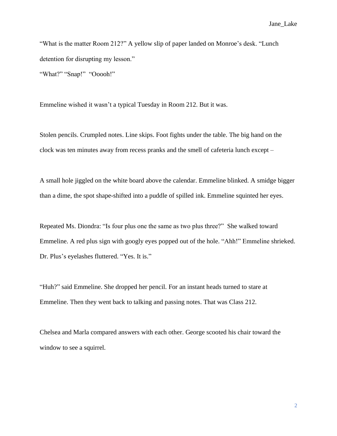"What is the matter Room 212?" A yellow slip of paper landed on Monroe's desk. "Lunch detention for disrupting my lesson." "What?" "Snap!" "Ooooh!"

Emmeline wished it wasn't a typical Tuesday in Room 212. But it was.

Stolen pencils. Crumpled notes. Line skips. Foot fights under the table. The big hand on the clock was ten minutes away from recess pranks and the smell of cafeteria lunch except –

A small hole jiggled on the white board above the calendar. Emmeline blinked. A smidge bigger than a dime, the spot shape-shifted into a puddle of spilled ink. Emmeline squinted her eyes.

Repeated Ms. Diondra: "Is four plus one the same as two plus three?" She walked toward Emmeline. A red plus sign with googly eyes popped out of the hole. "Ahh!" Emmeline shrieked. Dr. Plus's eyelashes fluttered. "Yes. It is."

"Huh?" said Emmeline. She dropped her pencil. For an instant heads turned to stare at Emmeline. Then they went back to talking and passing notes. That was Class 212.

Chelsea and Marla compared answers with each other. George scooted his chair toward the window to see a squirrel.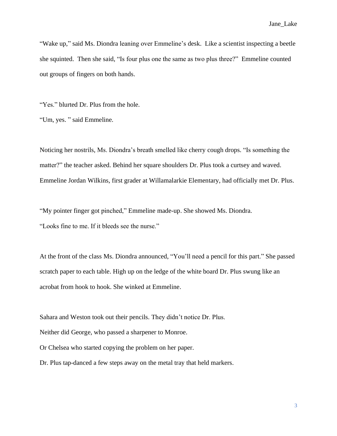"Wake up," said Ms. Diondra leaning over Emmeline's desk. Like a scientist inspecting a beetle she squinted. Then she said, "Is four plus one the same as two plus three?" Emmeline counted out groups of fingers on both hands.

"Yes." blurted Dr. Plus from the hole.

"Um, yes. " said Emmeline.

Noticing her nostrils, Ms. Diondra's breath smelled like cherry cough drops. "Is something the matter?" the teacher asked. Behind her square shoulders Dr. Plus took a curtsey and waved. Emmeline Jordan Wilkins, first grader at Willamalarkie Elementary, had officially met Dr. Plus.

"My pointer finger got pinched," Emmeline made-up. She showed Ms. Diondra. "Looks fine to me. If it bleeds see the nurse."

At the front of the class Ms. Diondra announced, "You'll need a pencil for this part." She passed scratch paper to each table. High up on the ledge of the white board Dr. Plus swung like an acrobat from hook to hook. She winked at Emmeline.

Sahara and Weston took out their pencils. They didn't notice Dr. Plus. Neither did George, who passed a sharpener to Monroe. Or Chelsea who started copying the problem on her paper.

Dr. Plus tap-danced a few steps away on the metal tray that held markers.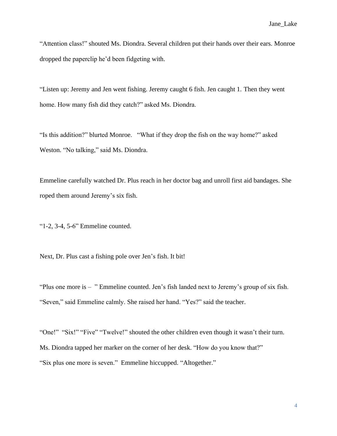"Attention class!" shouted Ms. Diondra. Several children put their hands over their ears. Monroe dropped the paperclip he'd been fidgeting with.

"Listen up: Jeremy and Jen went fishing. Jeremy caught 6 fish. Jen caught 1. Then they went home. How many fish did they catch?" asked Ms. Diondra.

"Is this addition?" blurted Monroe. "What if they drop the fish on the way home?" asked Weston. "No talking," said Ms. Diondra.

Emmeline carefully watched Dr. Plus reach in her doctor bag and unroll first aid bandages. She roped them around Jeremy's six fish.

"1-2, 3-4, 5-6" Emmeline counted.

Next, Dr. Plus cast a fishing pole over Jen's fish. It bit!

"Plus one more is – " Emmeline counted. Jen's fish landed next to Jeremy's group of six fish. "Seven," said Emmeline calmly. She raised her hand. "Yes?" said the teacher.

"One!" "Six!" "Five" "Twelve!" shouted the other children even though it wasn't their turn. Ms. Diondra tapped her marker on the corner of her desk. "How do you know that?" "Six plus one more is seven." Emmeline hiccupped. "Altogether."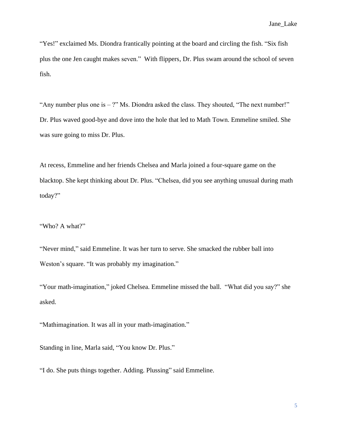"Yes!" exclaimed Ms. Diondra frantically pointing at the board and circling the fish. "Six fish plus the one Jen caught makes seven." With flippers, Dr. Plus swam around the school of seven fish.

"Any number plus one is – ?" Ms. Diondra asked the class. They shouted, "The next number!" Dr. Plus waved good-bye and dove into the hole that led to Math Town. Emmeline smiled. She was sure going to miss Dr. Plus.

At recess, Emmeline and her friends Chelsea and Marla joined a four-square game on the blacktop. She kept thinking about Dr. Plus. "Chelsea, did you see anything unusual during math today?"

"Who? A what?"

"Never mind," said Emmeline. It was her turn to serve. She smacked the rubber ball into Weston's square. "It was probably my imagination."

"Your math-imagination," joked Chelsea. Emmeline missed the ball. "What did you say?" she asked.

"Mathimagination. It was all in your math-imagination."

Standing in line, Marla said, "You know Dr. Plus."

"I do. She puts things together. Adding. Plussing" said Emmeline.

5